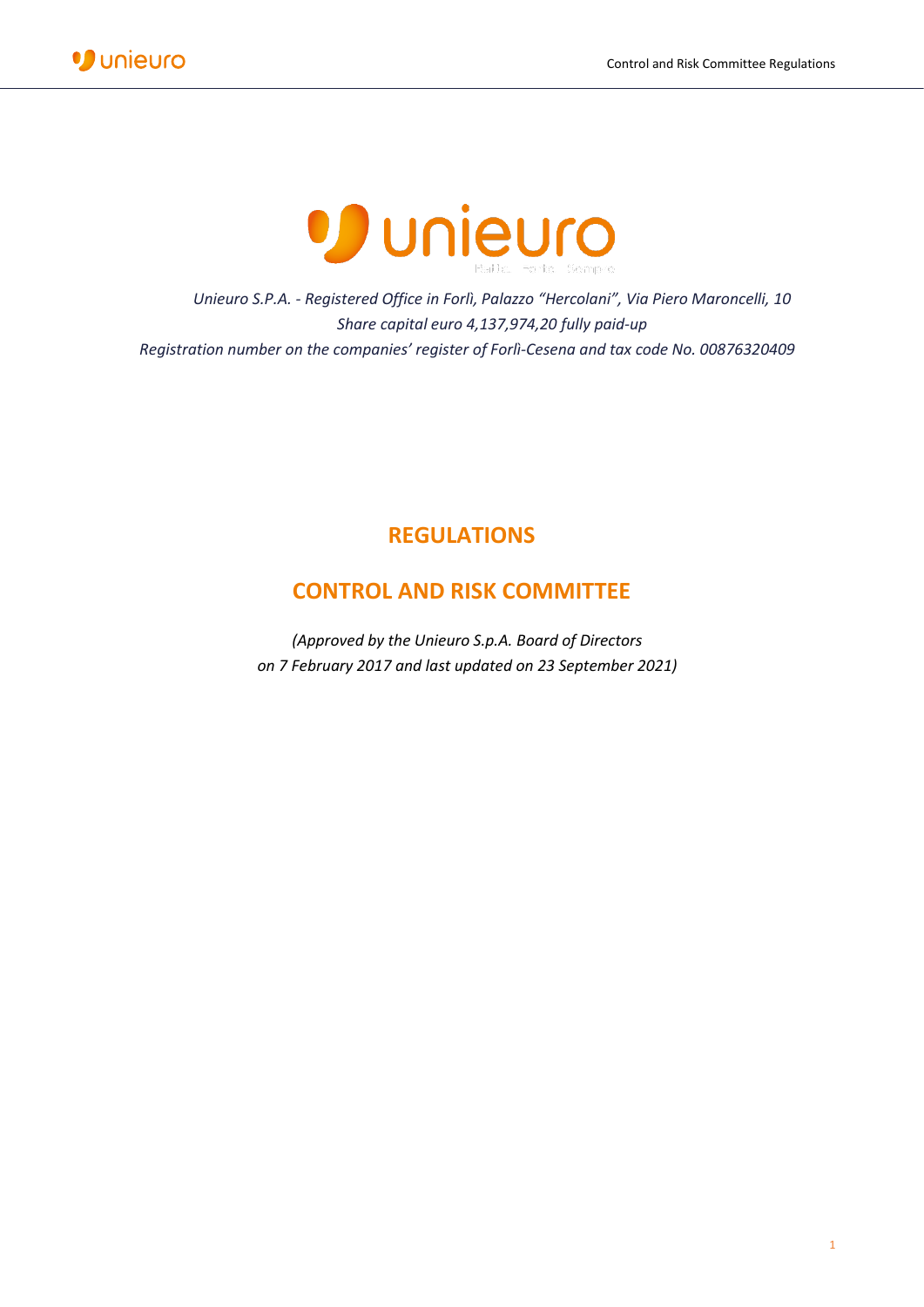



*Unieuro S.P.A. - Registered Office in Forlì, Palazzo "Hercolani", Via Piero Maroncelli, 10 Share capital euro 4,137,974,20 fully paid-up Registration number on the companies' register of Forlì-Cesena and tax code No. 00876320409*

# **REGULATIONS**

# **CONTROL AND RISK COMMITTEE**

*(Approved by the Unieuro S.p.A. Board of Directors on 7 February 2017 and last updated on 23 September 2021)*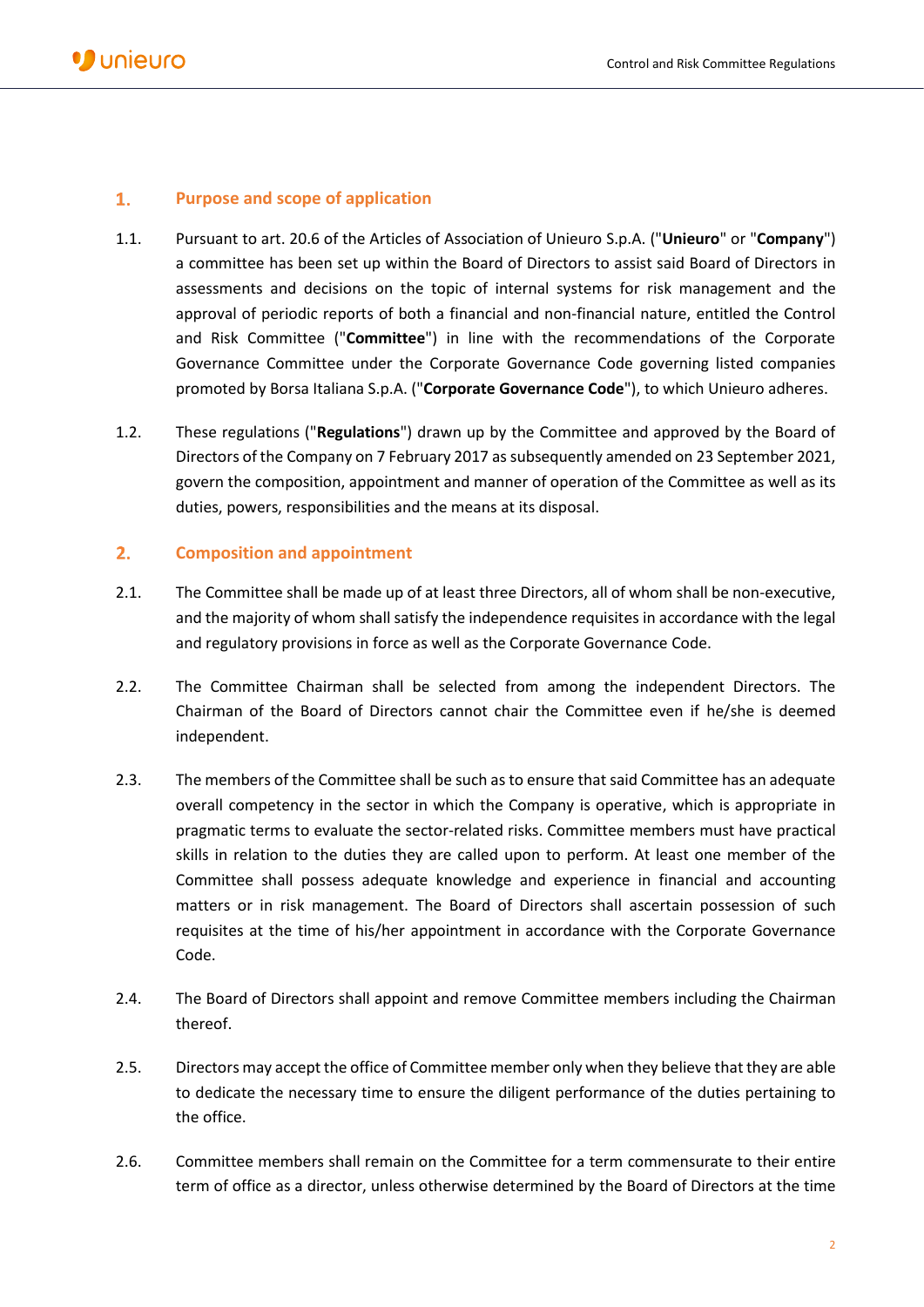# $1.$ **Purpose and scope of application**

- 1.1. Pursuant to art. 20.6 of the Articles of Association of Unieuro S.p.A. ("**Unieuro**" or "**Company**") a committee has been set up within the Board of Directors to assist said Board of Directors in assessments and decisions on the topic of internal systems for risk management and the approval of periodic reports of both a financial and non-financial nature, entitled the Control and Risk Committee ("**Committee**") in line with the recommendations of the Corporate Governance Committee under the Corporate Governance Code governing listed companies promoted by Borsa Italiana S.p.A. ("**Corporate Governance Code**"), to which Unieuro adheres.
- 1.2. These regulations ("**Regulations**") drawn up by the Committee and approved by the Board of Directors of the Company on 7 February 2017 as subsequently amended on 23 September 2021, govern the composition, appointment and manner of operation of the Committee as well as its duties, powers, responsibilities and the means at its disposal.

# $2.$ **Composition and appointment**

- 2.1. The Committee shall be made up of at least three Directors, all of whom shall be non-executive, and the majority of whom shall satisfy the independence requisites in accordance with the legal and regulatory provisions in force as well as the Corporate Governance Code.
- 2.2. The Committee Chairman shall be selected from among the independent Directors. The Chairman of the Board of Directors cannot chair the Committee even if he/she is deemed independent.
- 2.3. The members of the Committee shall be such as to ensure that said Committee has an adequate overall competency in the sector in which the Company is operative, which is appropriate in pragmatic terms to evaluate the sector-related risks. Committee members must have practical skills in relation to the duties they are called upon to perform. At least one member of the Committee shall possess adequate knowledge and experience in financial and accounting matters or in risk management. The Board of Directors shall ascertain possession of such requisites at the time of his/her appointment in accordance with the Corporate Governance Code.
- 2.4. The Board of Directors shall appoint and remove Committee members including the Chairman thereof.
- 2.5. Directors may accept the office of Committee member only when they believe that they are able to dedicate the necessary time to ensure the diligent performance of the duties pertaining to the office.
- 2.6. Committee members shall remain on the Committee for a term commensurate to their entire term of office as a director, unless otherwise determined by the Board of Directors at the time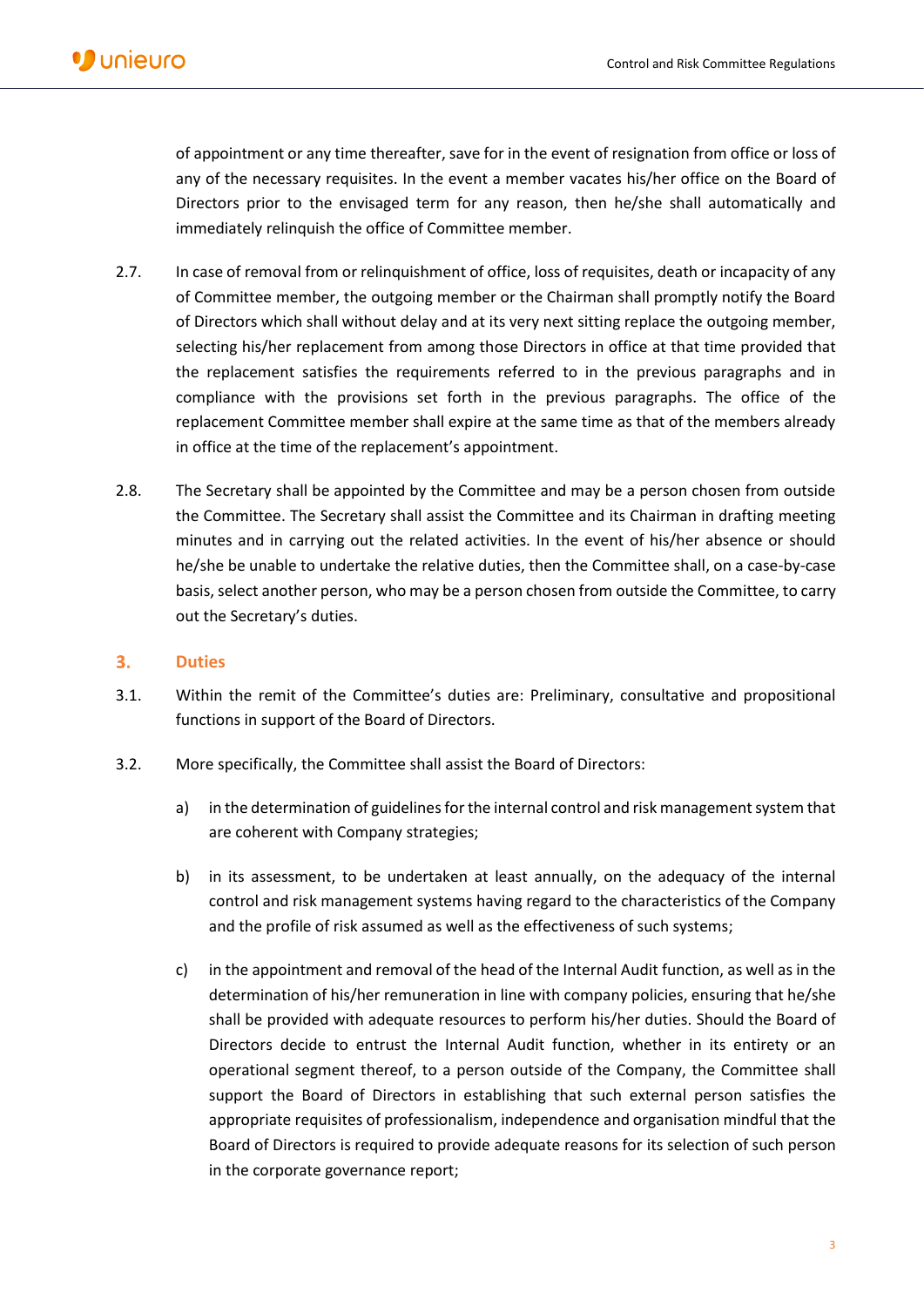of appointment or any time thereafter, save for in the event of resignation from office or loss of any of the necessary requisites. In the event a member vacates his/her office on the Board of Directors prior to the envisaged term for any reason, then he/she shall automatically and immediately relinquish the office of Committee member.

- 2.7. In case of removal from or relinquishment of office, loss of requisites, death or incapacity of any of Committee member, the outgoing member or the Chairman shall promptly notify the Board of Directors which shall without delay and at its very next sitting replace the outgoing member, selecting his/her replacement from among those Directors in office at that time provided that the replacement satisfies the requirements referred to in the previous paragraphs and in compliance with the provisions set forth in the previous paragraphs. The office of the replacement Committee member shall expire at the same time as that of the members already in office at the time of the replacement's appointment.
- 2.8. The Secretary shall be appointed by the Committee and may be a person chosen from outside the Committee. The Secretary shall assist the Committee and its Chairman in drafting meeting minutes and in carrying out the related activities. In the event of his/her absence or should he/she be unable to undertake the relative duties, then the Committee shall, on a case-by-case basis, select another person, who may be a person chosen from outside the Committee, to carry out the Secretary's duties.

#### $3.$ **Duties**

- 3.1. Within the remit of the Committee's duties are: Preliminary, consultative and propositional functions in support of the Board of Directors.
- 3.2. More specifically, the Committee shall assist the Board of Directors:
	- a) in the determination of guidelines for the internal control and risk management system that are coherent with Company strategies;
	- b) in its assessment, to be undertaken at least annually, on the adequacy of the internal control and risk management systems having regard to the characteristics of the Company and the profile of risk assumed as well as the effectiveness of such systems;
	- c) in the appointment and removal of the head of the Internal Audit function, as well as in the determination of his/her remuneration in line with company policies, ensuring that he/she shall be provided with adequate resources to perform his/her duties. Should the Board of Directors decide to entrust the Internal Audit function, whether in its entirety or an operational segment thereof, to a person outside of the Company, the Committee shall support the Board of Directors in establishing that such external person satisfies the appropriate requisites of professionalism, independence and organisation mindful that the Board of Directors is required to provide adequate reasons for its selection of such person in the corporate governance report;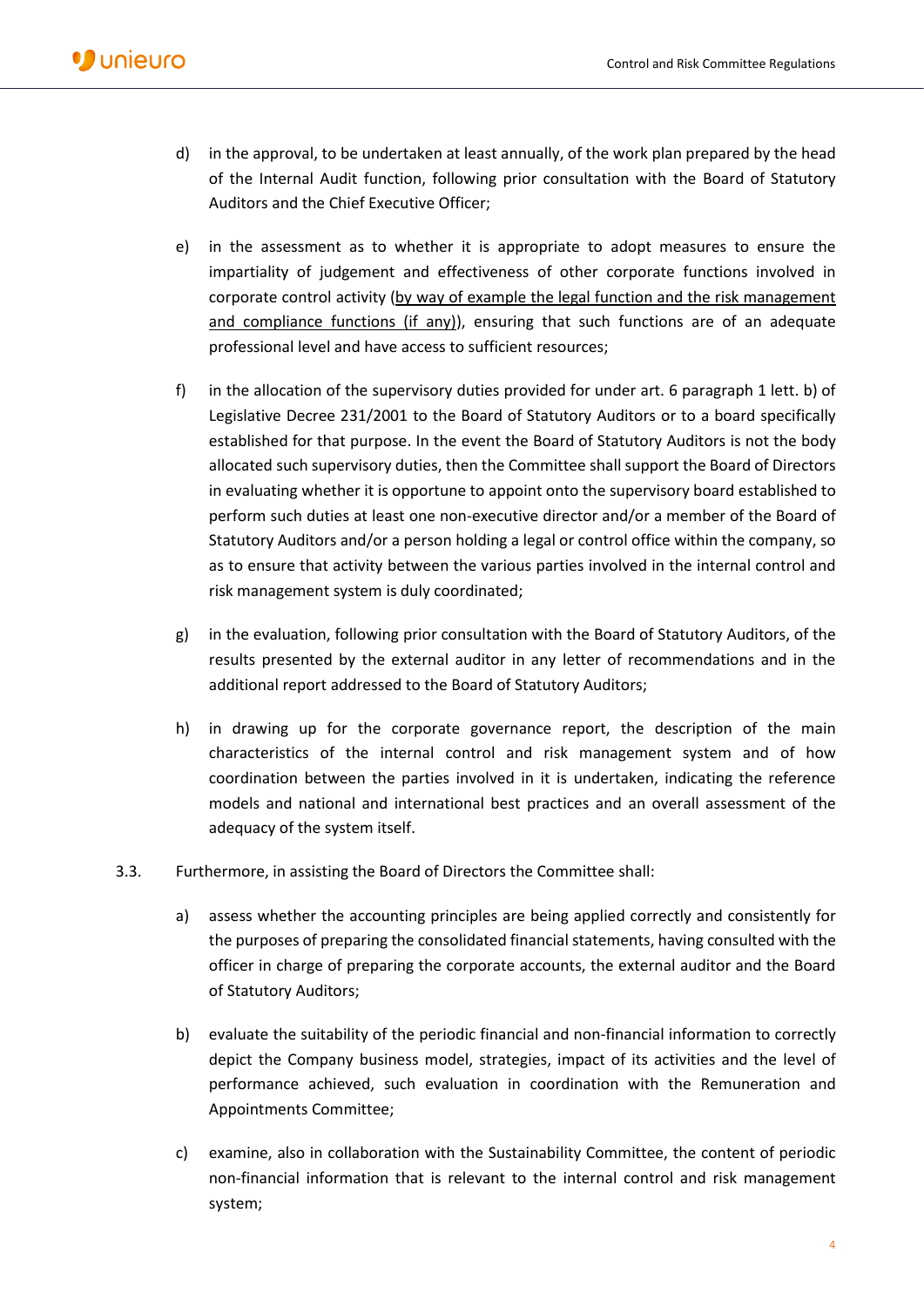- d) in the approval, to be undertaken at least annually, of the work plan prepared by the head of the Internal Audit function, following prior consultation with the Board of Statutory Auditors and the Chief Executive Officer;
- e) in the assessment as to whether it is appropriate to adopt measures to ensure the impartiality of judgement and effectiveness of other corporate functions involved in corporate control activity (by way of example the legal function and the risk management and compliance functions (if any)), ensuring that such functions are of an adequate professional level and have access to sufficient resources;
- f) in the allocation of the supervisory duties provided for under art. 6 paragraph 1 lett. b) of Legislative Decree 231/2001 to the Board of Statutory Auditors or to a board specifically established for that purpose. In the event the Board of Statutory Auditors is not the body allocated such supervisory duties, then the Committee shall support the Board of Directors in evaluating whether it is opportune to appoint onto the supervisory board established to perform such duties at least one non-executive director and/or a member of the Board of Statutory Auditors and/or a person holding a legal or control office within the company, so as to ensure that activity between the various parties involved in the internal control and risk management system is duly coordinated;
- g) in the evaluation, following prior consultation with the Board of Statutory Auditors, of the results presented by the external auditor in any letter of recommendations and in the additional report addressed to the Board of Statutory Auditors;
- h) in drawing up for the corporate governance report, the description of the main characteristics of the internal control and risk management system and of how coordination between the parties involved in it is undertaken, indicating the reference models and national and international best practices and an overall assessment of the adequacy of the system itself.
- 3.3. Furthermore, in assisting the Board of Directors the Committee shall:
	- a) assess whether the accounting principles are being applied correctly and consistently for the purposes of preparing the consolidated financial statements, having consulted with the officer in charge of preparing the corporate accounts, the external auditor and the Board of Statutory Auditors;
	- b) evaluate the suitability of the periodic financial and non-financial information to correctly depict the Company business model, strategies, impact of its activities and the level of performance achieved, such evaluation in coordination with the Remuneration and Appointments Committee;
	- c) examine, also in collaboration with the Sustainability Committee, the content of periodic non-financial information that is relevant to the internal control and risk management system;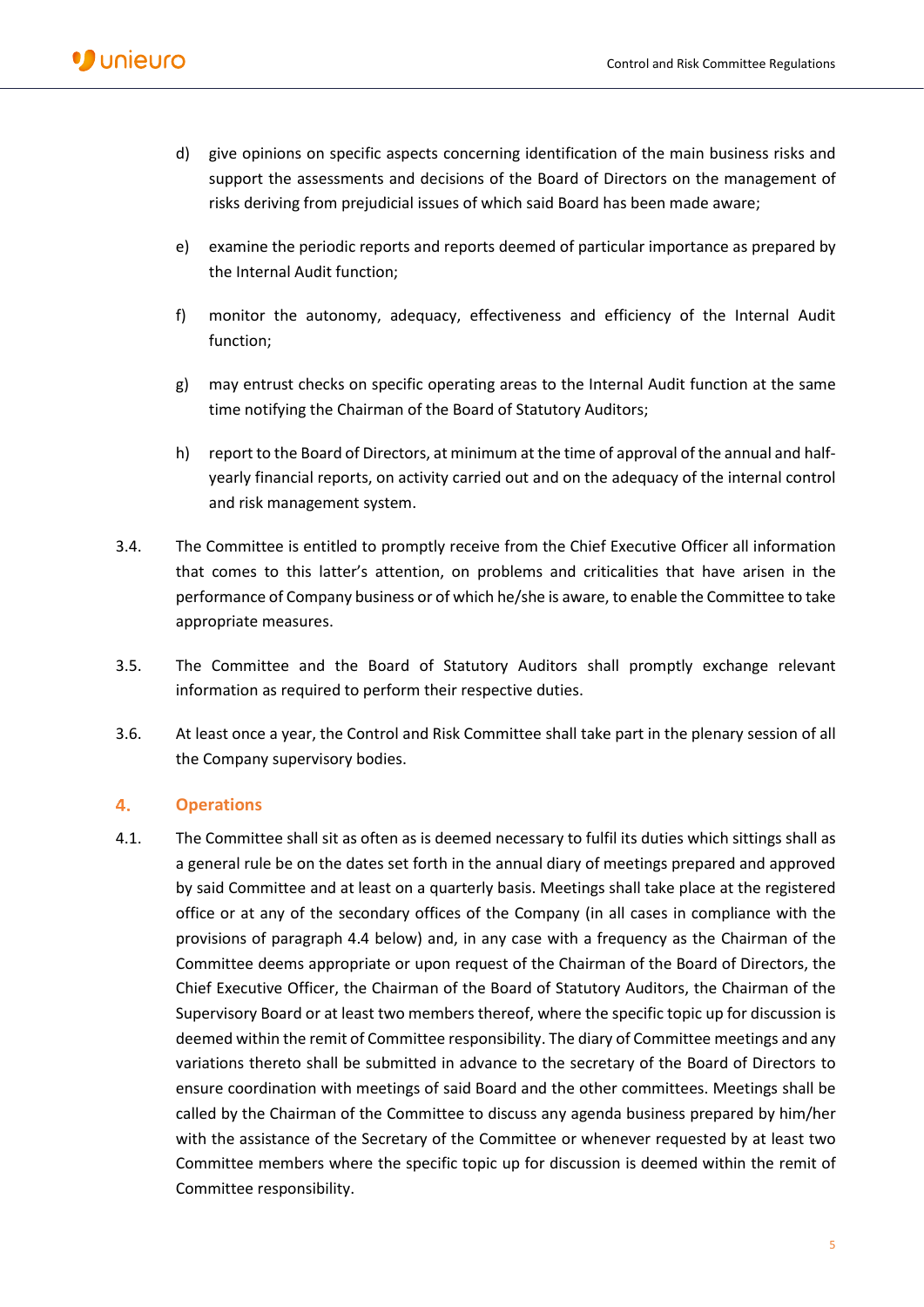- d) give opinions on specific aspects concerning identification of the main business risks and support the assessments and decisions of the Board of Directors on the management of risks deriving from prejudicial issues of which said Board has been made aware;
- e) examine the periodic reports and reports deemed of particular importance as prepared by the Internal Audit function;
- f) monitor the autonomy, adequacy, effectiveness and efficiency of the Internal Audit function;
- g) may entrust checks on specific operating areas to the Internal Audit function at the same time notifying the Chairman of the Board of Statutory Auditors;
- h) report to the Board of Directors, at minimum at the time of approval of the annual and halfyearly financial reports, on activity carried out and on the adequacy of the internal control and risk management system.
- 3.4. The Committee is entitled to promptly receive from the Chief Executive Officer all information that comes to this latter's attention, on problems and criticalities that have arisen in the performance of Company business or of which he/she is aware, to enable the Committee to take appropriate measures.
- 3.5. The Committee and the Board of Statutory Auditors shall promptly exchange relevant information as required to perform their respective duties.
- 3.6. At least once a year, the Control and Risk Committee shall take part in the plenary session of all the Company supervisory bodies.

# 4. **Operations**

4.1. The Committee shall sit as often as is deemed necessary to fulfil its duties which sittings shall as a general rule be on the dates set forth in the annual diary of meetings prepared and approved by said Committee and at least on a quarterly basis. Meetings shall take place at the registered office or at any of the secondary offices of the Company (in all cases in compliance with the provisions of paragraph 4.4 below) and, in any case with a frequency as the Chairman of the Committee deems appropriate or upon request of the Chairman of the Board of Directors, the Chief Executive Officer, the Chairman of the Board of Statutory Auditors, the Chairman of the Supervisory Board or at least two members thereof, where the specific topic up for discussion is deemed within the remit of Committee responsibility. The diary of Committee meetings and any variations thereto shall be submitted in advance to the secretary of the Board of Directors to ensure coordination with meetings of said Board and the other committees. Meetings shall be called by the Chairman of the Committee to discuss any agenda business prepared by him/her with the assistance of the Secretary of the Committee or whenever requested by at least two Committee members where the specific topic up for discussion is deemed within the remit of Committee responsibility.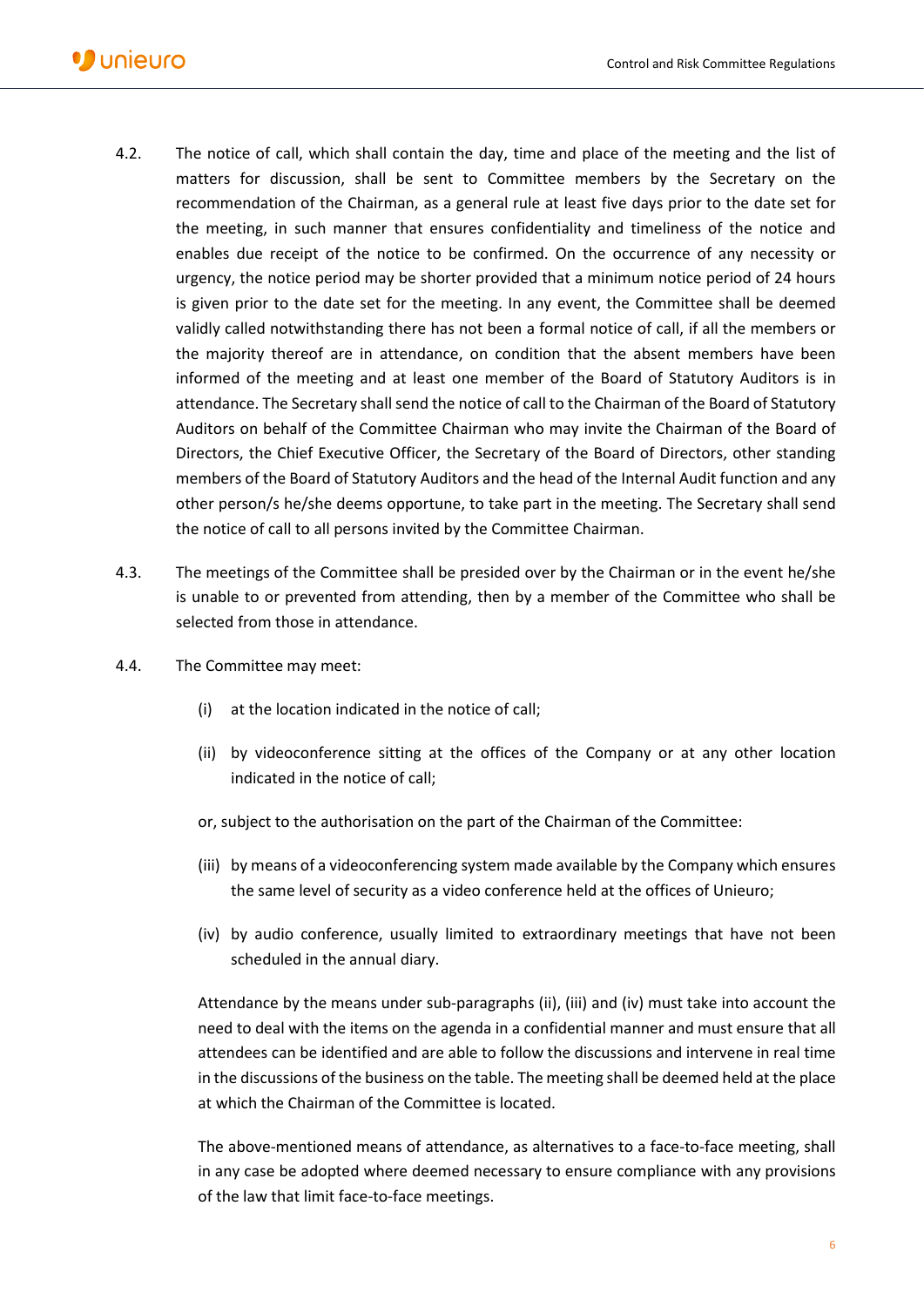- 4.2. The notice of call, which shall contain the day, time and place of the meeting and the list of matters for discussion, shall be sent to Committee members by the Secretary on the recommendation of the Chairman, as a general rule at least five days prior to the date set for the meeting, in such manner that ensures confidentiality and timeliness of the notice and enables due receipt of the notice to be confirmed. On the occurrence of any necessity or urgency, the notice period may be shorter provided that a minimum notice period of 24 hours is given prior to the date set for the meeting. In any event, the Committee shall be deemed validly called notwithstanding there has not been a formal notice of call, if all the members or the majority thereof are in attendance, on condition that the absent members have been informed of the meeting and at least one member of the Board of Statutory Auditors is in attendance. The Secretary shall send the notice of call to the Chairman of the Board of Statutory Auditors on behalf of the Committee Chairman who may invite the Chairman of the Board of Directors, the Chief Executive Officer, the Secretary of the Board of Directors, other standing members of the Board of Statutory Auditors and the head of the Internal Audit function and any other person/s he/she deems opportune, to take part in the meeting. The Secretary shall send the notice of call to all persons invited by the Committee Chairman.
- 4.3. The meetings of the Committee shall be presided over by the Chairman or in the event he/she is unable to or prevented from attending, then by a member of the Committee who shall be selected from those in attendance.
- 4.4. The Committee may meet:
	- (i) at the location indicated in the notice of call;
	- (ii) by videoconference sitting at the offices of the Company or at any other location indicated in the notice of call;
	- or, subject to the authorisation on the part of the Chairman of the Committee:
	- (iii) by means of a videoconferencing system made available by the Company which ensures the same level of security as a video conference held at the offices of Unieuro;
	- (iv) by audio conference, usually limited to extraordinary meetings that have not been scheduled in the annual diary.

Attendance by the means under sub-paragraphs (ii), (iii) and (iv) must take into account the need to deal with the items on the agenda in a confidential manner and must ensure that all attendees can be identified and are able to follow the discussions and intervene in real time in the discussions of the business on the table. The meeting shall be deemed held at the place at which the Chairman of the Committee is located.

The above-mentioned means of attendance, as alternatives to a face-to-face meeting, shall in any case be adopted where deemed necessary to ensure compliance with any provisions of the law that limit face-to-face meetings.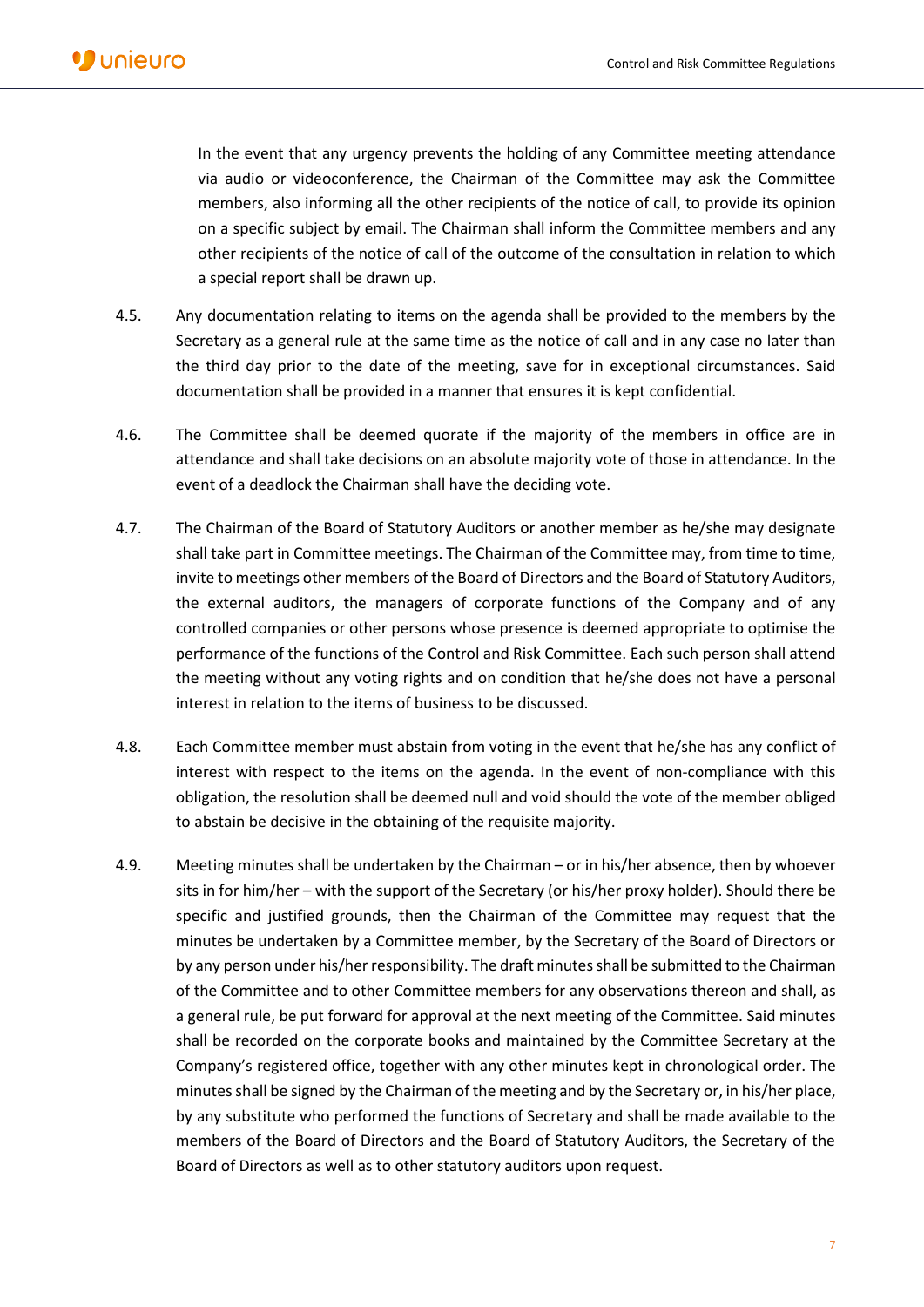In the event that any urgency prevents the holding of any Committee meeting attendance via audio or videoconference, the Chairman of the Committee may ask the Committee members, also informing all the other recipients of the notice of call, to provide its opinion on a specific subject by email. The Chairman shall inform the Committee members and any other recipients of the notice of call of the outcome of the consultation in relation to which a special report shall be drawn up.

- 4.5. Any documentation relating to items on the agenda shall be provided to the members by the Secretary as a general rule at the same time as the notice of call and in any case no later than the third day prior to the date of the meeting, save for in exceptional circumstances. Said documentation shall be provided in a manner that ensures it is kept confidential.
- 4.6. The Committee shall be deemed quorate if the majority of the members in office are in attendance and shall take decisions on an absolute majority vote of those in attendance. In the event of a deadlock the Chairman shall have the deciding vote.
- 4.7. The Chairman of the Board of Statutory Auditors or another member as he/she may designate shall take part in Committee meetings. The Chairman of the Committee may, from time to time, invite to meetings other members of the Board of Directors and the Board of Statutory Auditors, the external auditors, the managers of corporate functions of the Company and of any controlled companies or other persons whose presence is deemed appropriate to optimise the performance of the functions of the Control and Risk Committee. Each such person shall attend the meeting without any voting rights and on condition that he/she does not have a personal interest in relation to the items of business to be discussed.
- 4.8. Each Committee member must abstain from voting in the event that he/she has any conflict of interest with respect to the items on the agenda. In the event of non-compliance with this obligation, the resolution shall be deemed null and void should the vote of the member obliged to abstain be decisive in the obtaining of the requisite majority.
- 4.9. Meeting minutes shall be undertaken by the Chairman or in his/her absence, then by whoever sits in for him/her – with the support of the Secretary (or his/her proxy holder). Should there be specific and justified grounds, then the Chairman of the Committee may request that the minutes be undertaken by a Committee member, by the Secretary of the Board of Directors or by any person under his/her responsibility. The draft minutes shall be submitted to the Chairman of the Committee and to other Committee members for any observations thereon and shall, as a general rule, be put forward for approval at the next meeting of the Committee. Said minutes shall be recorded on the corporate books and maintained by the Committee Secretary at the Company's registered office, together with any other minutes kept in chronological order. The minutes shall be signed by the Chairman of the meeting and by the Secretary or, in his/her place, by any substitute who performed the functions of Secretary and shall be made available to the members of the Board of Directors and the Board of Statutory Auditors, the Secretary of the Board of Directors as well as to other statutory auditors upon request.